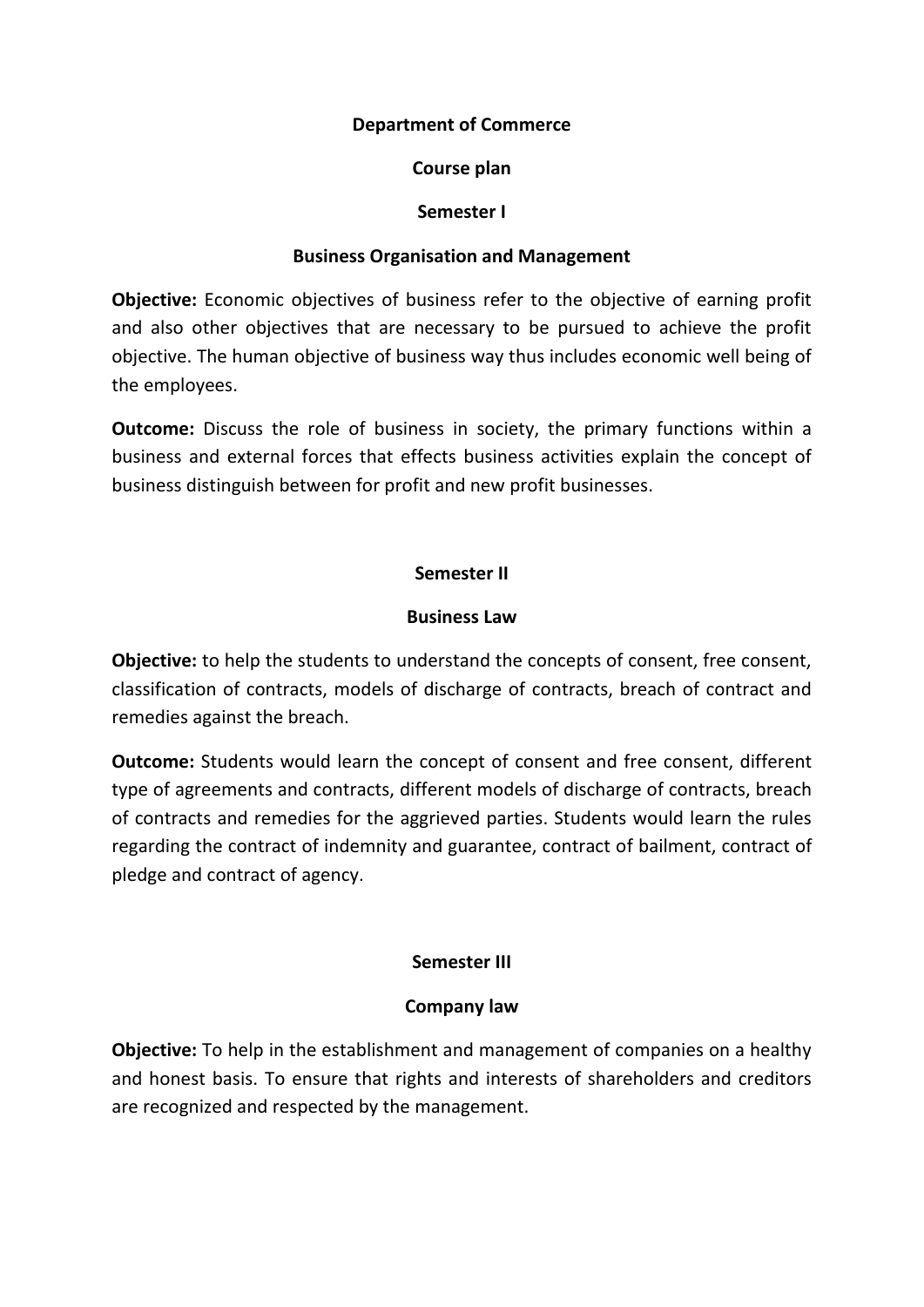# **Department of Commerce**

# **Course plan**

# **Semester I**

# **Business Organisation and Management**

**Objective:** Economic objectives of business refer to the objective of earning profit and also other objectives that are necessary to be pursued to achieve the profit objective. The human objective of business way thus includes economic well being of the employees.

**Outcome:** Discuss the role of business in society, the primary functions within a business and external forces that effects business activities explain the concept of business distinguish between for profit and new profit businesses.

# **Semester II**

# **Business Law**

**Objective:** to help the students to understand the concepts of consent, free consent, classification of contracts, models of discharge of contracts, breach of contract and remedies against the breach.

**Outcome:** Students would learn the concept of consent and free consent, different type of agreements and contracts, different models of discharge of contracts, breach of contracts and remedies for the aggrieved parties. Students would learn the rules regarding the contract of indemnity and guarantee, contract of bailment, contract of pledge and contract of agency.

# **Semester III**

# **Company law**

**Objective:** To help in the establishment and management of companies on a healthy and honest basis. To ensure that rights and interests of shareholders and creditors are recognized and respected by the management.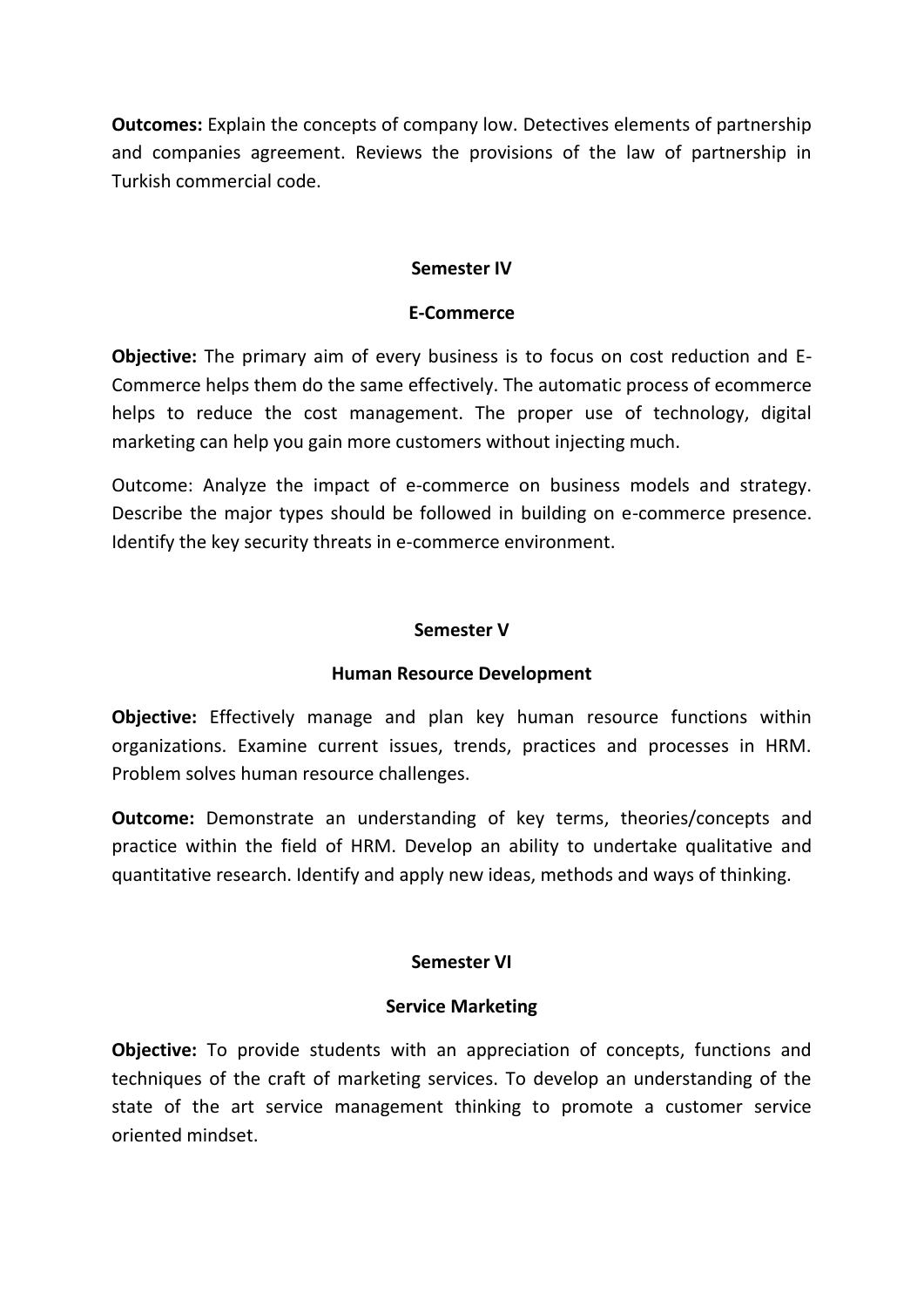**Outcomes:** Explain the concepts of company low. Detectives elements of partnership and companies agreement. Reviews the provisions of the law of partnership in Turkish commercial code.

### **Semester IV**

#### **E-Commerce**

**Objective:** The primary aim of every business is to focus on cost reduction and E-Commerce helps them do the same effectively. The automatic process of ecommerce helps to reduce the cost management. The proper use of technology, digital marketing can help you gain more customers without injecting much.

Outcome: Analyze the impact of e-commerce on business models and strategy. Describe the major types should be followed in building on e-commerce presence. Identify the key security threats in e-commerce environment.

#### **Semester V**

#### **Human Resource Development**

**Objective:** Effectively manage and plan key human resource functions within organizations. Examine current issues, trends, practices and processes in HRM. Problem solves human resource challenges.

**Outcome:** Demonstrate an understanding of key terms, theories/concepts and practice within the field of HRM. Develop an ability to undertake qualitative and quantitative research. Identify and apply new ideas, methods and ways of thinking.

# **Semester VI**

# **Service Marketing**

**Objective:** To provide students with an appreciation of concepts, functions and techniques of the craft of marketing services. To develop an understanding of the state of the art service management thinking to promote a customer service oriented mindset.